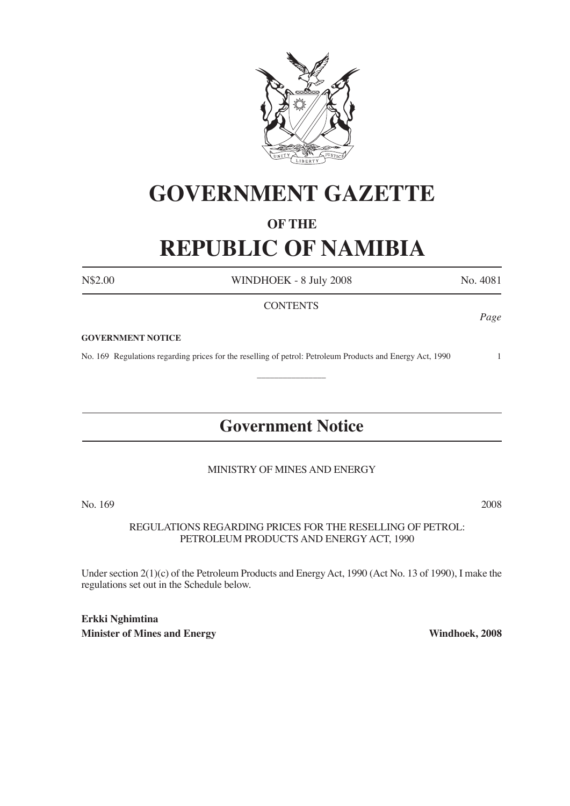

# **GOVERNMENT GAZETTE**

# **OF THE**

# **REPUBLIC OF NAMIBIA**

N\$2.00 WINDHOEK - 8 July 2008 No. 4081

# **CONTENTS**

*Page*

#### **GOVERNMENT NOTICE**

No. 169 Regulations regarding prices for the reselling of petrol: Petroleum Products and Energy Act, 1990 1

# **Government Notice**

 $\frac{1}{2}$ 

# MINISTRY OF MINES AND ENERGY

No. 169 2008

REGULATIONS REGARDING PRICES FOR THE RESELLING OF PETROL: PETROLEUM PRODUCTS AND ENERGY ACT, 1990

Under section 2(1)(c) of the Petroleum Products and Energy Act, 1990 (Act No. 13 of 1990), I make the regulations set out in the Schedule below.

**Erkki Nghimtina Minister of Mines and Energy Windhoek, 2008**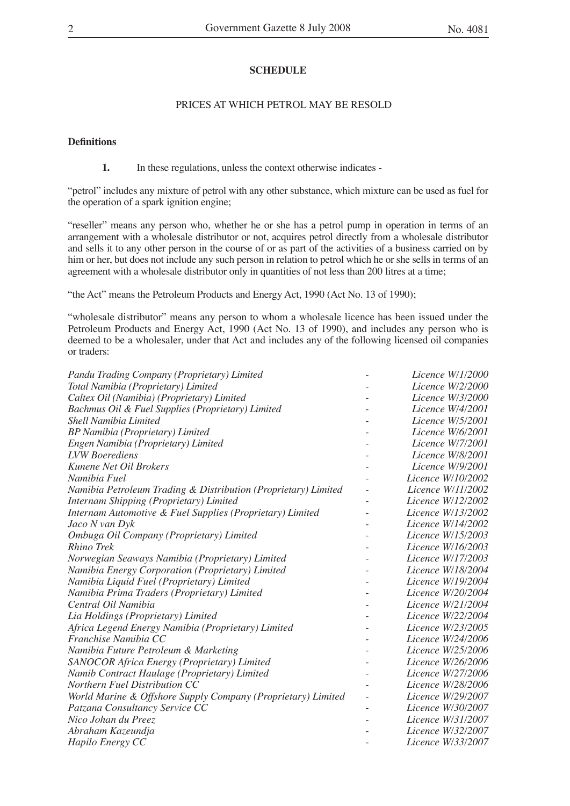# **SCHEDULE**

### PRICES AT WHICH PETROL MAY BE RESOLD

### **Definitions**

**1.** In these regulations, unless the context otherwise indicates -

"petrol" includes any mixture of petrol with any other substance, which mixture can be used as fuel for the operation of a spark ignition engine;

"reseller" means any person who, whether he or she has a petrol pump in operation in terms of an arrangement with a wholesale distributor or not, acquires petrol directly from a wholesale distributor and sells it to any other person in the course of or as part of the activities of a business carried on by him or her, but does not include any such person in relation to petrol which he or she sells in terms of an agreement with a wholesale distributor only in quantities of not less than 200 litres at a time;

"the Act" means the Petroleum Products and Energy Act, 1990 (Act No. 13 of 1990);

"wholesale distributor" means any person to whom a wholesale licence has been issued under the Petroleum Products and Energy Act, 1990 (Act No. 13 of 1990), and includes any person who is deemed to be a wholesaler, under that Act and includes any of the following licensed oil companies or traders:

| Pandu Trading Company (Proprietary) Limited                    |                          | Licence W/1/2000         |
|----------------------------------------------------------------|--------------------------|--------------------------|
| Total Namibia (Proprietary) Limited                            |                          | Licence W/2/2000         |
| Caltex Oil (Namibia) (Proprietary) Limited                     |                          | Licence W/3/2000         |
| Bachmus Oil & Fuel Supplies (Proprietary) Limited              |                          | Licence W/4/2001         |
| Shell Namibia Limited                                          |                          | Licence W/5/2001         |
| BP Namibia (Proprietary) Limited                               |                          | Licence W/6/2001         |
| Engen Namibia (Proprietary) Limited                            |                          | Licence W/7/2001         |
| <b>LVW</b> Boerediens                                          |                          | Licence W/8/2001         |
| Kunene Net Oil Brokers                                         |                          | Licence W/9/2001         |
| Namibia Fuel                                                   |                          | Licence W/10/2002        |
| Namibia Petroleum Trading & Distribution (Proprietary) Limited |                          | Licence W/11/2002        |
| Internam Shipping (Proprietary) Limited                        | $\overline{\phantom{0}}$ | <i>Licence W/12/2002</i> |
| Internam Automotive & Fuel Supplies (Proprietary) Limited      |                          | Licence W/13/2002        |
| Jaco N van Dyk                                                 |                          | Licence W/14/2002        |
| Ombuga Oil Company (Proprietary) Limited                       |                          | Licence W/15/2003        |
| Rhino Trek                                                     |                          | Licence W/16/2003        |
| Norwegian Seaways Namibia (Proprietary) Limited                |                          | Licence W/17/2003        |
| Namibia Energy Corporation (Proprietary) Limited               |                          | Licence W/18/2004        |
| Namibia Liquid Fuel (Proprietary) Limited                      |                          | Licence W/19/2004        |
| Namibia Prima Traders (Proprietary) Limited                    |                          | <i>Licence W/20/2004</i> |
| Central Oil Namibia                                            |                          | Licence W/21/2004        |
| Lia Holdings (Proprietary) Limited                             |                          | Licence W/22/2004        |
| Africa Legend Energy Namibia (Proprietary) Limited             |                          | <i>Licence W/23/2005</i> |
| Franchise Namibia CC                                           |                          | Licence W/24/2006        |
| Namibia Future Petroleum & Marketing                           |                          | Licence W/25/2006        |
| SANOCOR Africa Energy (Proprietary) Limited                    |                          | Licence W/26/2006        |
| Namib Contract Haulage (Proprietary) Limited                   |                          | Licence W/27/2006        |
| Northern Fuel Distribution CC                                  |                          | Licence W/28/2006        |
| World Marine & Offshore Supply Company (Proprietary) Limited   |                          | Licence W/29/2007        |
| Patzana Consultancy Service CC                                 |                          | Licence W/30/2007        |
| Nico Johan du Preez                                            |                          | <i>Licence W/31/2007</i> |
| Abraham Kazeundja                                              |                          | Licence W/32/2007        |
| Hapilo Energy CC                                               |                          | Licence W/33/2007        |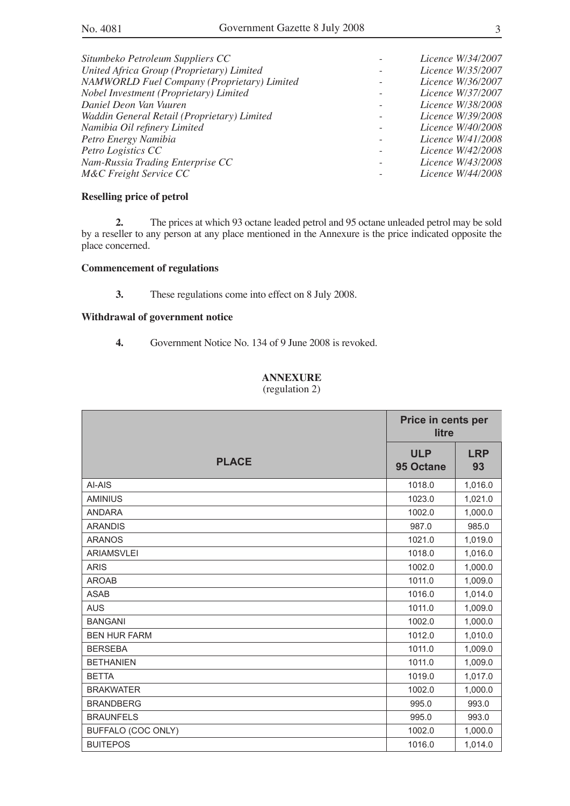| Situmbeko Petroleum Suppliers CC                   | Licence W/34/2007        |
|----------------------------------------------------|--------------------------|
| United Africa Group (Proprietary) Limited          | <i>Licence W/35/2007</i> |
| <b>NAMWORLD Fuel Company (Proprietary) Limited</b> | Licence W/36/2007        |
| Nobel Investment (Proprietary) Limited             | <i>Licence W/37/2007</i> |
| Daniel Deon Van Vuuren                             | <i>Licence W/38/2008</i> |
| Waddin General Retail (Proprietary) Limited        | <i>Licence W/39/2008</i> |
| Namibia Oil refinery Limited                       | <i>Licence W/40/2008</i> |
| Petro Energy Namibia                               | <i>Licence W/41/2008</i> |
| Petro Logistics CC                                 | <i>Licence W/42/2008</i> |
| Nam-Russia Trading Enterprise CC                   | <i>Licence W/43/2008</i> |
| M&C Freight Service CC                             | <i>Licence W/44/2008</i> |
|                                                    |                          |

### **Reselling price of petrol**

**2.** The prices at which 93 octane leaded petrol and 95 octane unleaded petrol may be sold by a reseller to any person at any place mentioned in the Annexure is the price indicated opposite the place concerned.

### **Commencement of regulations**

**3.** These regulations come into effect on 8 July 2008.

### **Withdrawal of government notice**

**4.** Government Notice No. 134 of 9 June 2008 is revoked.

## **ANNEXURE**

(regulation 2)

|                     | Price in cents per<br>litre |                  |
|---------------------|-----------------------------|------------------|
| <b>PLACE</b>        | <b>ULP</b><br>95 Octane     | <b>LRP</b><br>93 |
| AI-AIS              | 1018.0                      | 1,016.0          |
| <b>AMINIUS</b>      | 1023.0                      | 1,021.0          |
| <b>ANDARA</b>       | 1002.0                      | 1,000.0          |
| <b>ARANDIS</b>      | 987.0                       | 985.0            |
| <b>ARANOS</b>       | 1021.0                      | 1,019.0          |
| <b>ARIAMSVLEI</b>   | 1018.0                      | 1,016.0          |
| <b>ARIS</b>         | 1002.0                      | 1,000.0          |
| <b>AROAB</b>        | 1011.0                      | 1,009.0          |
| <b>ASAB</b>         | 1016.0                      | 1,014.0          |
| <b>AUS</b>          | 1011.0                      | 1,009.0          |
| <b>BANGANI</b>      | 1002.0                      | 1,000.0          |
| <b>BEN HUR FARM</b> | 1012.0                      | 1,010.0          |
| <b>BERSEBA</b>      | 1011.0                      | 1,009.0          |
| <b>BETHANIEN</b>    | 1011.0                      | 1,009.0          |
| <b>BETTA</b>        | 1019.0                      | 1,017.0          |
| <b>BRAKWATER</b>    | 1002.0                      | 1,000.0          |
| <b>BRANDBERG</b>    | 995.0                       | 993.0            |
| <b>BRAUNFELS</b>    | 995.0                       | 993.0            |
| BUFFALO (COC ONLY)  | 1002.0                      | 1,000.0          |
| <b>BUITEPOS</b>     | 1016.0                      | 1,014.0          |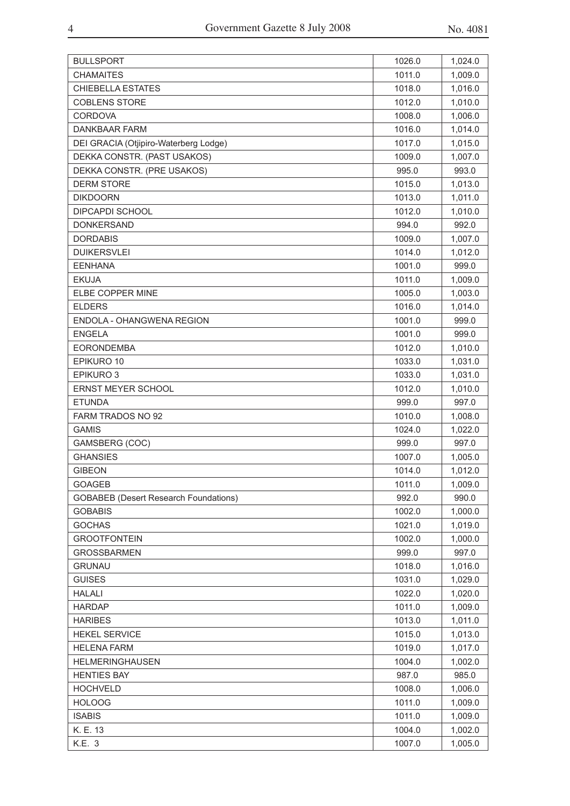| <b>CHAMAITES</b><br>1011.0<br>1,009.0<br><b>CHIEBELLA ESTATES</b><br>1018.0<br>1,016.0<br><b>COBLENS STORE</b><br>1012.0<br>1,010.0<br><b>CORDOVA</b><br>1008.0<br>1,006.0<br>DANKBAAR FARM<br>1016.0<br>1,014.0<br>1017.0<br>DEI GRACIA (Otjipiro-Waterberg Lodge)<br>1,015.0<br>DEKKA CONSTR. (PAST USAKOS)<br>1,007.0<br>1009.0<br>DEKKA CONSTR. (PRE USAKOS)<br>995.0<br>993.0<br><b>DERM STORE</b><br>1015.0<br>1,013.0<br><b>DIKDOORN</b><br>1,011.0<br>1013.0<br><b>DIPCAPDI SCHOOL</b><br>1012.0<br>1,010.0<br><b>DONKERSAND</b><br>994.0<br>992.0<br>1,007.0<br><b>DORDABIS</b><br>1009.0<br><b>DUIKERSVLEI</b><br>1014.0<br>1,012.0<br><b>EENHANA</b><br>1001.0<br>999.0<br><b>EKUJA</b><br>1011.0<br>1,009.0<br>ELBE COPPER MINE<br>1005.0<br>1,003.0 |
|------------------------------------------------------------------------------------------------------------------------------------------------------------------------------------------------------------------------------------------------------------------------------------------------------------------------------------------------------------------------------------------------------------------------------------------------------------------------------------------------------------------------------------------------------------------------------------------------------------------------------------------------------------------------------------------------------------------------------------------------------------------|
|                                                                                                                                                                                                                                                                                                                                                                                                                                                                                                                                                                                                                                                                                                                                                                  |
|                                                                                                                                                                                                                                                                                                                                                                                                                                                                                                                                                                                                                                                                                                                                                                  |
|                                                                                                                                                                                                                                                                                                                                                                                                                                                                                                                                                                                                                                                                                                                                                                  |
|                                                                                                                                                                                                                                                                                                                                                                                                                                                                                                                                                                                                                                                                                                                                                                  |
|                                                                                                                                                                                                                                                                                                                                                                                                                                                                                                                                                                                                                                                                                                                                                                  |
|                                                                                                                                                                                                                                                                                                                                                                                                                                                                                                                                                                                                                                                                                                                                                                  |
|                                                                                                                                                                                                                                                                                                                                                                                                                                                                                                                                                                                                                                                                                                                                                                  |
|                                                                                                                                                                                                                                                                                                                                                                                                                                                                                                                                                                                                                                                                                                                                                                  |
|                                                                                                                                                                                                                                                                                                                                                                                                                                                                                                                                                                                                                                                                                                                                                                  |
|                                                                                                                                                                                                                                                                                                                                                                                                                                                                                                                                                                                                                                                                                                                                                                  |
|                                                                                                                                                                                                                                                                                                                                                                                                                                                                                                                                                                                                                                                                                                                                                                  |
|                                                                                                                                                                                                                                                                                                                                                                                                                                                                                                                                                                                                                                                                                                                                                                  |
|                                                                                                                                                                                                                                                                                                                                                                                                                                                                                                                                                                                                                                                                                                                                                                  |
|                                                                                                                                                                                                                                                                                                                                                                                                                                                                                                                                                                                                                                                                                                                                                                  |
|                                                                                                                                                                                                                                                                                                                                                                                                                                                                                                                                                                                                                                                                                                                                                                  |
|                                                                                                                                                                                                                                                                                                                                                                                                                                                                                                                                                                                                                                                                                                                                                                  |
|                                                                                                                                                                                                                                                                                                                                                                                                                                                                                                                                                                                                                                                                                                                                                                  |
| <b>ELDERS</b><br>1,014.0<br>1016.0                                                                                                                                                                                                                                                                                                                                                                                                                                                                                                                                                                                                                                                                                                                               |
| ENDOLA - OHANGWENA REGION<br>1001.0<br>999.0                                                                                                                                                                                                                                                                                                                                                                                                                                                                                                                                                                                                                                                                                                                     |
| <b>ENGELA</b><br>1001.0<br>999.0                                                                                                                                                                                                                                                                                                                                                                                                                                                                                                                                                                                                                                                                                                                                 |
| <b>EORONDEMBA</b><br>1012.0<br>1,010.0                                                                                                                                                                                                                                                                                                                                                                                                                                                                                                                                                                                                                                                                                                                           |
| EPIKURO 10<br>1033.0<br>1,031.0                                                                                                                                                                                                                                                                                                                                                                                                                                                                                                                                                                                                                                                                                                                                  |
| EPIKURO 3<br>1033.0<br>1,031.0                                                                                                                                                                                                                                                                                                                                                                                                                                                                                                                                                                                                                                                                                                                                   |
| ERNST MEYER SCHOOL<br>1012.0<br>1,010.0                                                                                                                                                                                                                                                                                                                                                                                                                                                                                                                                                                                                                                                                                                                          |
| <b>ETUNDA</b><br>999.0<br>997.0                                                                                                                                                                                                                                                                                                                                                                                                                                                                                                                                                                                                                                                                                                                                  |
| FARM TRADOS NO 92<br>1010.0<br>1,008.0                                                                                                                                                                                                                                                                                                                                                                                                                                                                                                                                                                                                                                                                                                                           |
| <b>GAMIS</b><br>1024.0<br>1,022.0                                                                                                                                                                                                                                                                                                                                                                                                                                                                                                                                                                                                                                                                                                                                |
| GAMSBERG (COC)<br>999.0<br>997.0                                                                                                                                                                                                                                                                                                                                                                                                                                                                                                                                                                                                                                                                                                                                 |
| <b>GHANSIES</b><br>1007.0<br>1,005.0                                                                                                                                                                                                                                                                                                                                                                                                                                                                                                                                                                                                                                                                                                                             |
| <b>GIBEON</b><br>1014.0<br>1,012.0                                                                                                                                                                                                                                                                                                                                                                                                                                                                                                                                                                                                                                                                                                                               |
| 1,009.0<br>GOAGEB<br>1011.0                                                                                                                                                                                                                                                                                                                                                                                                                                                                                                                                                                                                                                                                                                                                      |
| <b>GOBABEB</b> (Desert Research Foundations)<br>992.0<br>990.0                                                                                                                                                                                                                                                                                                                                                                                                                                                                                                                                                                                                                                                                                                   |
| <b>GOBABIS</b><br>1002.0<br>1,000.0                                                                                                                                                                                                                                                                                                                                                                                                                                                                                                                                                                                                                                                                                                                              |
| <b>GOCHAS</b><br>1021.0<br>1,019.0                                                                                                                                                                                                                                                                                                                                                                                                                                                                                                                                                                                                                                                                                                                               |
| <b>GROOTFONTEIN</b><br>1002.0<br>1,000.0                                                                                                                                                                                                                                                                                                                                                                                                                                                                                                                                                                                                                                                                                                                         |
| <b>GROSSBARMEN</b><br>999.0<br>997.0                                                                                                                                                                                                                                                                                                                                                                                                                                                                                                                                                                                                                                                                                                                             |
| <b>GRUNAU</b><br>1,016.0<br>1018.0                                                                                                                                                                                                                                                                                                                                                                                                                                                                                                                                                                                                                                                                                                                               |
| <b>GUISES</b><br>1031.0<br>1,029.0                                                                                                                                                                                                                                                                                                                                                                                                                                                                                                                                                                                                                                                                                                                               |
| <b>HALALI</b><br>1022.0<br>1,020.0                                                                                                                                                                                                                                                                                                                                                                                                                                                                                                                                                                                                                                                                                                                               |
| <b>HARDAP</b><br>1011.0<br>1,009.0                                                                                                                                                                                                                                                                                                                                                                                                                                                                                                                                                                                                                                                                                                                               |
| <b>HARIBES</b><br>1013.0<br>1,011.0                                                                                                                                                                                                                                                                                                                                                                                                                                                                                                                                                                                                                                                                                                                              |
| <b>HEKEL SERVICE</b><br>1015.0<br>1,013.0                                                                                                                                                                                                                                                                                                                                                                                                                                                                                                                                                                                                                                                                                                                        |
| <b>HELENA FARM</b><br>1019.0<br>1,017.0                                                                                                                                                                                                                                                                                                                                                                                                                                                                                                                                                                                                                                                                                                                          |
| <b>HELMERINGHAUSEN</b><br>1004.0<br>1,002.0                                                                                                                                                                                                                                                                                                                                                                                                                                                                                                                                                                                                                                                                                                                      |
| <b>HENTIES BAY</b><br>987.0<br>985.0                                                                                                                                                                                                                                                                                                                                                                                                                                                                                                                                                                                                                                                                                                                             |
| <b>HOCHVELD</b><br>1008.0<br>1,006.0                                                                                                                                                                                                                                                                                                                                                                                                                                                                                                                                                                                                                                                                                                                             |
| <b>HOLOOG</b><br>1011.0<br>1,009.0                                                                                                                                                                                                                                                                                                                                                                                                                                                                                                                                                                                                                                                                                                                               |
| <b>ISABIS</b><br>1011.0<br>1,009.0                                                                                                                                                                                                                                                                                                                                                                                                                                                                                                                                                                                                                                                                                                                               |
| K. E. 13<br>1004.0<br>1,002.0                                                                                                                                                                                                                                                                                                                                                                                                                                                                                                                                                                                                                                                                                                                                    |
| K.E. 3<br>1007.0<br>1,005.0                                                                                                                                                                                                                                                                                                                                                                                                                                                                                                                                                                                                                                                                                                                                      |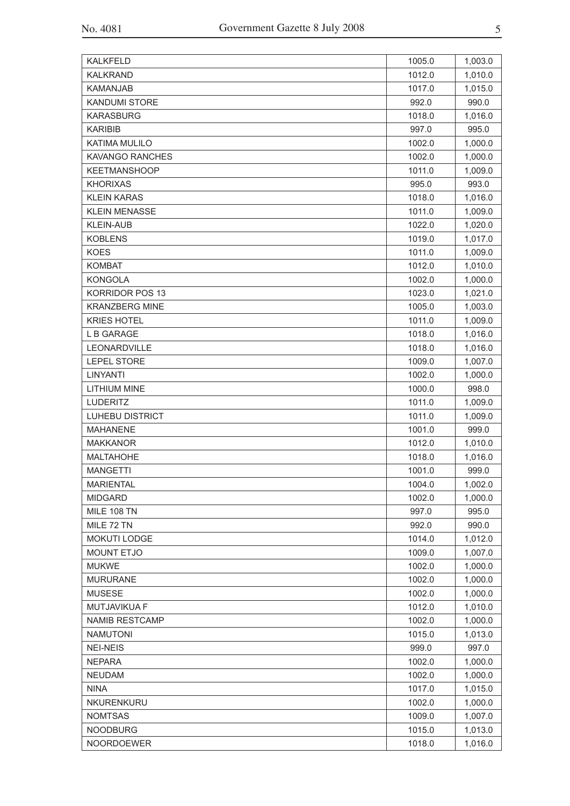| <b>KALKFELD</b>        | 1005.0 | 1,003.0 |
|------------------------|--------|---------|
| <b>KALKRAND</b>        | 1012.0 | 1,010.0 |
| <b>KAMANJAB</b>        | 1017.0 | 1,015.0 |
| <b>KANDUMI STORE</b>   | 992.0  | 990.0   |
| <b>KARASBURG</b>       | 1018.0 | 1,016.0 |
| <b>KARIBIB</b>         | 997.0  | 995.0   |
| <b>KATIMA MULILO</b>   | 1002.0 | 1,000.0 |
| <b>KAVANGO RANCHES</b> | 1002.0 | 1,000.0 |
| <b>KEETMANSHOOP</b>    | 1011.0 | 1,009.0 |
| <b>KHORIXAS</b>        | 995.0  | 993.0   |
| <b>KLEIN KARAS</b>     | 1018.0 | 1,016.0 |
| <b>KLEIN MENASSE</b>   | 1011.0 | 1,009.0 |
| <b>KLEIN-AUB</b>       | 1022.0 | 1,020.0 |
| <b>KOBLENS</b>         |        |         |
| <b>KOES</b>            | 1019.0 | 1,017.0 |
|                        | 1011.0 | 1,009.0 |
| <b>KOMBAT</b>          | 1012.0 | 1,010.0 |
| <b>KONGOLA</b>         | 1002.0 | 1,000.0 |
| <b>KORRIDOR POS 13</b> | 1023.0 | 1,021.0 |
| <b>KRANZBERG MINE</b>  | 1005.0 | 1,003.0 |
| <b>KRIES HOTEL</b>     | 1011.0 | 1,009.0 |
| L B GARAGE             | 1018.0 | 1,016.0 |
| LEONARDVILLE           | 1018.0 | 1,016.0 |
| <b>LEPEL STORE</b>     | 1009.0 | 1,007.0 |
| LINYANTI               | 1002.0 | 1,000.0 |
| <b>LITHIUM MINE</b>    | 1000.0 | 998.0   |
| <b>LUDERITZ</b>        | 1011.0 | 1,009.0 |
| <b>LUHEBU DISTRICT</b> | 1011.0 | 1,009.0 |
| <b>MAHANENE</b>        | 1001.0 | 999.0   |
| <b>MAKKANOR</b>        | 1012.0 | 1,010.0 |
| <b>MALTAHOHE</b>       | 1018.0 | 1,016.0 |
| <b>MANGETTI</b>        | 1001.0 | 999.0   |
| <b>MARIENTAL</b>       | 1004.0 | 1,002.0 |
| <b>MIDGARD</b>         | 1002.0 | 1,000.0 |
| <b>MILE 108 TN</b>     | 997.0  | 995.0   |
| MILE 72 TN             | 992.0  | 990.0   |
| MOKUTI LODGE           | 1014.0 | 1,012.0 |
| <b>MOUNT ETJO</b>      | 1009.0 | 1,007.0 |
| <b>MUKWE</b>           | 1002.0 | 1,000.0 |
| <b>MURURANE</b>        | 1002.0 | 1,000.0 |
| <b>MUSESE</b>          | 1002.0 | 1,000.0 |
| MUTJAVIKUA F           | 1012.0 | 1,010.0 |
| <b>NAMIB RESTCAMP</b>  | 1002.0 | 1,000.0 |
| <b>NAMUTONI</b>        | 1015.0 | 1,013.0 |
| <b>NEI-NEIS</b>        | 999.0  | 997.0   |
| <b>NEPARA</b>          | 1002.0 | 1,000.0 |
| <b>NEUDAM</b>          | 1002.0 | 1,000.0 |
| <b>NINA</b>            | 1017.0 | 1,015.0 |
| NKURENKURU             | 1002.0 | 1,000.0 |
| <b>NOMTSAS</b>         | 1009.0 | 1,007.0 |
| <b>NOODBURG</b>        | 1015.0 | 1,013.0 |
| <b>NOORDOEWER</b>      | 1018.0 | 1,016.0 |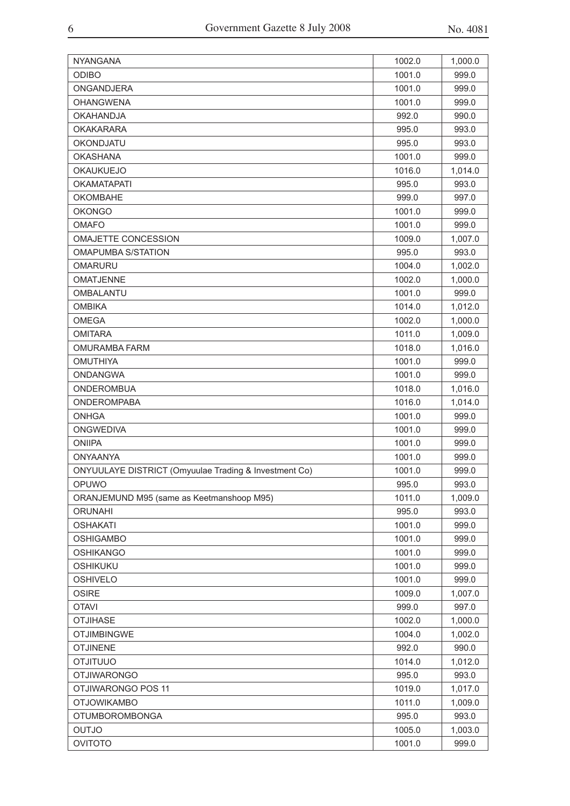| <b>NYANGANA</b>                                       | 1002.0 | 1,000.0 |
|-------------------------------------------------------|--------|---------|
| <b>ODIBO</b>                                          | 1001.0 | 999.0   |
| ONGANDJERA                                            | 1001.0 | 999.0   |
| <b>OHANGWENA</b>                                      | 1001.0 | 999.0   |
| <b>OKAHANDJA</b>                                      | 992.0  | 990.0   |
| <b>OKAKARARA</b>                                      | 995.0  | 993.0   |
| <b>OKONDJATU</b>                                      | 995.0  | 993.0   |
| <b>OKASHANA</b>                                       | 1001.0 | 999.0   |
| <b>OKAUKUEJO</b>                                      | 1016.0 | 1,014.0 |
| <b>OKAMATAPATI</b>                                    | 995.0  | 993.0   |
| OKOMBAHE                                              | 999.0  | 997.0   |
| <b>OKONGO</b>                                         | 1001.0 | 999.0   |
| <b>OMAFO</b>                                          | 1001.0 | 999.0   |
| <b>OMAJETTE CONCESSION</b>                            | 1009.0 | 1,007.0 |
| <b>OMAPUMBA S/STATION</b>                             | 995.0  | 993.0   |
| <b>OMARURU</b>                                        | 1004.0 | 1,002.0 |
| <b>OMATJENNE</b>                                      | 1002.0 | 1,000.0 |
| OMBALANTU                                             | 1001.0 | 999.0   |
| <b>OMBIKA</b>                                         | 1014.0 | 1,012.0 |
| <b>OMEGA</b>                                          | 1002.0 | 1,000.0 |
| <b>OMITARA</b>                                        | 1011.0 | 1,009.0 |
| <b>OMURAMBA FARM</b>                                  | 1018.0 | 1,016.0 |
| <b>OMUTHIYA</b>                                       | 1001.0 | 999.0   |
| <b>ONDANGWA</b>                                       | 1001.0 | 999.0   |
| <b>ONDEROMBUA</b>                                     | 1018.0 | 1,016.0 |
| <b>ONDEROMPABA</b>                                    | 1016.0 | 1,014.0 |
| <b>ONHGA</b>                                          | 1001.0 | 999.0   |
| <b>ONGWEDIVA</b>                                      | 1001.0 | 999.0   |
| <b>ONIIPA</b>                                         | 1001.0 | 999.0   |
| <b>ONYAANYA</b>                                       | 1001.0 | 999.0   |
| ONYUULAYE DISTRICT (Omyuulae Trading & Investment Co) | 1001.0 | 999.0   |
| OPUWO                                                 | 995.0  | 993.0   |
| ORANJEMUND M95 (same as Keetmanshoop M95)             | 1011.0 | 1,009.0 |
| <b>ORUNAHI</b>                                        | 995.0  | 993.0   |
| <b>OSHAKATI</b>                                       | 1001.0 | 999.0   |
| <b>OSHIGAMBO</b>                                      | 1001.0 | 999.0   |
| <b>OSHIKANGO</b>                                      | 1001.0 | 999.0   |
| <b>OSHIKUKU</b>                                       | 1001.0 | 999.0   |
| <b>OSHIVELO</b>                                       | 1001.0 | 999.0   |
| <b>OSIRE</b>                                          | 1009.0 | 1,007.0 |
| <b>OTAVI</b>                                          | 999.0  | 997.0   |
| <b>OTJIHASE</b>                                       | 1002.0 | 1,000.0 |
| <b>OTJIMBINGWE</b>                                    | 1004.0 | 1,002.0 |
| <b>OTJINENE</b>                                       | 992.0  | 990.0   |
| <b>OUUTILTO</b>                                       | 1014.0 | 1,012.0 |
| <b>OTJIWARONGO</b>                                    | 995.0  | 993.0   |
| OTJIWARONGO POS 11                                    | 1019.0 | 1,017.0 |
| <b>OTJOWIKAMBO</b>                                    | 1011.0 | 1,009.0 |
| <b>OTUMBOROMBONGA</b>                                 | 995.0  | 993.0   |
| OUTJO                                                 | 1005.0 | 1,003.0 |
| <b>OVITOTO</b>                                        | 1001.0 | 999.0   |
|                                                       |        |         |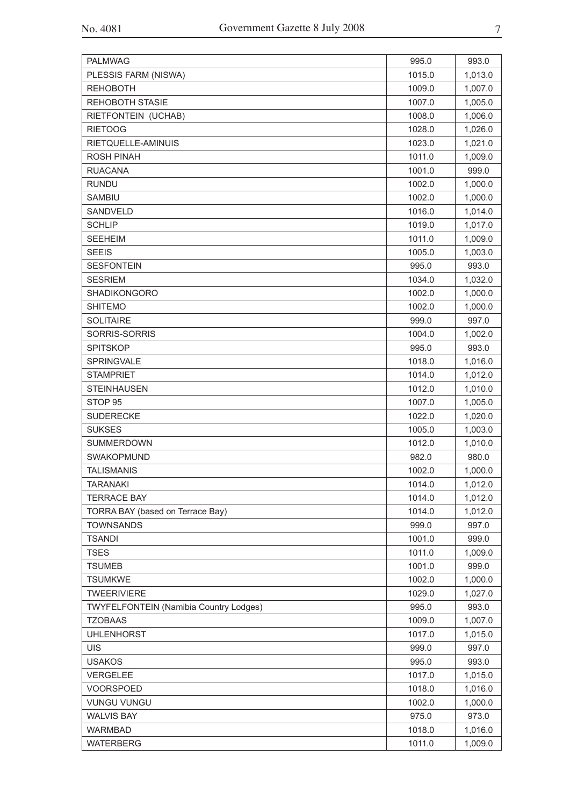| <b>PALMWAG</b>                         | 995.0  | 993.0   |
|----------------------------------------|--------|---------|
| PLESSIS FARM (NISWA)                   | 1015.0 | 1,013.0 |
| <b>REHOBOTH</b>                        | 1009.0 | 1,007.0 |
| <b>REHOBOTH STASIE</b>                 | 1007.0 | 1,005.0 |
| RIETFONTEIN (UCHAB)                    | 1008.0 | 1,006.0 |
| <b>RIETOOG</b>                         | 1028.0 | 1,026.0 |
| RIETQUELLE-AMINUIS                     | 1023.0 | 1,021.0 |
| <b>ROSH PINAH</b>                      | 1011.0 | 1,009.0 |
| <b>RUACANA</b>                         | 1001.0 | 999.0   |
| <b>RUNDU</b>                           | 1002.0 | 1,000.0 |
| <b>SAMBIU</b>                          | 1002.0 | 1,000.0 |
| <b>SANDVELD</b>                        | 1016.0 | 1,014.0 |
| <b>SCHLIP</b>                          | 1019.0 | 1,017.0 |
| <b>SEEHEIM</b>                         | 1011.0 | 1,009.0 |
| <b>SEEIS</b>                           | 1005.0 | 1,003.0 |
| <b>SESFONTEIN</b>                      | 995.0  | 993.0   |
| <b>SESRIEM</b>                         | 1034.0 | 1,032.0 |
| <b>SHADIKONGORO</b>                    | 1002.0 | 1,000.0 |
| <b>SHITEMO</b>                         | 1002.0 | 1,000.0 |
| <b>SOLITAIRE</b>                       | 999.0  | 997.0   |
| SORRIS-SORRIS                          | 1004.0 | 1,002.0 |
| <b>SPITSKOP</b>                        | 995.0  | 993.0   |
| <b>SPRINGVALE</b>                      | 1018.0 | 1,016.0 |
| <b>STAMPRIET</b>                       | 1014.0 | 1,012.0 |
| <b>STEINHAUSEN</b>                     | 1012.0 | 1,010.0 |
| STOP <sub>95</sub>                     | 1007.0 | 1,005.0 |
| <b>SUDERECKE</b>                       | 1022.0 | 1,020.0 |
| <b>SUKSES</b>                          | 1005.0 | 1,003.0 |
| <b>SUMMERDOWN</b>                      | 1012.0 | 1,010.0 |
| SWAKOPMUND                             | 982.0  | 980.0   |
| <b>TALISMANIS</b>                      | 1002.0 | 1,000.0 |
| <b>TARANAKI</b>                        | 1014.0 | 1,012.0 |
| <b>TERRACE BAY</b>                     | 1014.0 | 1,012.0 |
| TORRA BAY (based on Terrace Bay)       | 1014.0 | 1,012.0 |
| <b>TOWNSANDS</b>                       | 999.0  | 997.0   |
| <b>TSANDI</b>                          | 1001.0 | 999.0   |
| <b>TSES</b>                            | 1011.0 | 1,009.0 |
| <b>TSUMEB</b>                          | 1001.0 | 999.0   |
| <b>TSUMKWE</b>                         | 1002.0 | 1,000.0 |
| <b>TWEERIVIERE</b>                     | 1029.0 | 1,027.0 |
| TWYFELFONTEIN (Namibia Country Lodges) | 995.0  | 993.0   |
| <b>TZOBAAS</b>                         | 1009.0 | 1,007.0 |
| <b>UHLENHORST</b>                      | 1017.0 | 1,015.0 |
| <b>UIS</b>                             | 999.0  | 997.0   |
| <b>USAKOS</b>                          | 995.0  | 993.0   |
| VERGELEE                               | 1017.0 | 1,015.0 |
| <b>VOORSPOED</b>                       | 1018.0 | 1,016.0 |
| <b>VUNGU VUNGU</b>                     | 1002.0 | 1,000.0 |
| <b>WALVIS BAY</b>                      | 975.0  | 973.0   |
| <b>WARMBAD</b>                         | 1018.0 | 1,016.0 |
| <b>WATERBERG</b>                       | 1011.0 | 1,009.0 |